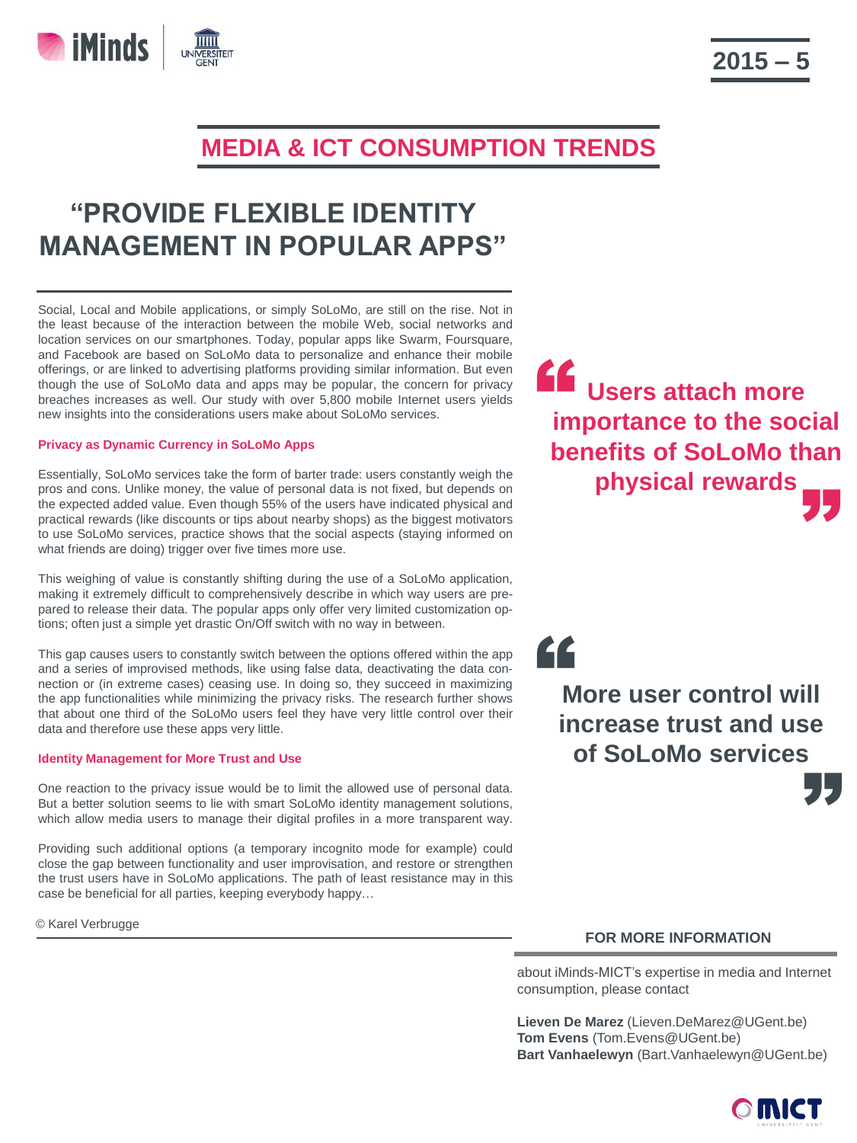

# **"PROVIDE FLEXIBLE IDENTITY MANAGEMENT IN POPULAR APPS"**

Social, Local and Mobile applications, or simply SoLoMo, are still on the rise. Not in the least because of the interaction between the mobile Web, social networks and location services on our smartphones. Today, popular apps like Swarm, Foursquare, and Facebook are based on SoLoMo data to personalize and enhance their mobile offerings, or are linked to advertising platforms providing similar information. But even though the use of SoLoMo data and apps may be popular, the concern for privacy breaches increases as well. Our study with over 5,800 mobile Internet users yields new insights into the considerations users make about SoLoMo services.

## **Privacy as Dynamic Currency in SoLoMo Apps**

**iMinds** 

Essentially, SoLoMo services take the form of barter trade: users constantly weigh the pros and cons. Unlike money, the value of personal data is not fixed, but depends on the expected added value. Even though 55% of the users have indicated physical and practical rewards (like discounts or tips about nearby shops) as the biggest motivators to use SoLoMo services, practice shows that the social aspects (staying informed on what friends are doing) trigger over five times more use.

This weighing of value is constantly shifting during the use of a SoLoMo application, making it extremely difficult to comprehensively describe in which way users are prepared to release their data. The popular apps only offer very limited customization options; often just a simple yet drastic On/Off switch with no way in between.

This gap causes users to constantly switch between the options offered within the app and a series of improvised methods, like using false data, deactivating the data connection or (in extreme cases) ceasing use. In doing so, they succeed in maximizing the app functionalities while minimizing the privacy risks. The research further shows that about one third of the SoLoMo users feel they have very little control over their data and therefore use these apps very little.

#### **Identity Management for More Trust and Use**

One reaction to the privacy issue would be to limit the allowed use of personal data. But a better solution seems to lie with smart SoLoMo identity management solutions, which allow media users to manage their digital profiles in a more transparent way.

Providing such additional options (a temporary incognito mode for example) could close the gap between functionality and user improvisation, and restore or strengthen the trust users have in SoLoMo applications. The path of least resistance may in this case be beneficial for all parties, keeping everybody happy…

© Karel Verbrugge

**Users attach more importance to the social<br>
importance to the social benefits of SoLoMo than physical rewards** "

;<br>55 **More user control will increase trust and use of SoLoMo services**

"

## **FOR MORE INFORMATION**

about iMinds-MICT's expertise in media and Internet consumption, please contact

**Lieven De Marez** (Lieven.DeMarez@UGent.be) **Tom Evens** (Tom.Evens@UGent.be) **Bart Vanhaelewyn** (Bart.Vanhaelewyn@UGent.be)